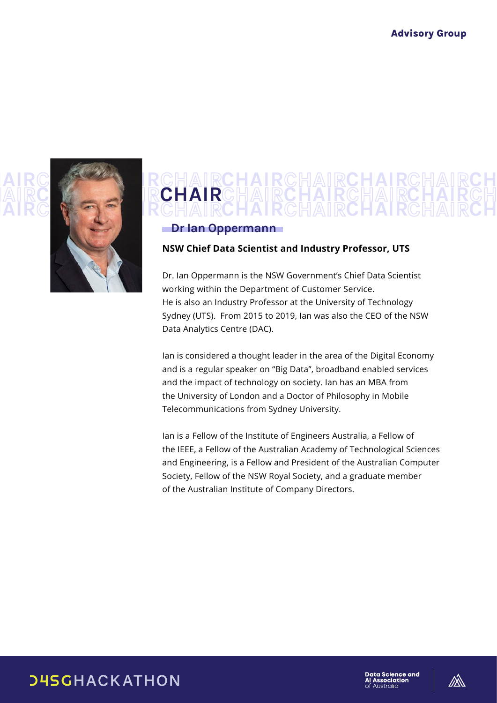

#### AIRC **V-9 F IRCHAIRCHAIRCHAIRCHAIRCH** CHAIR CHAIR CHAIRCH CHAIRCHAIRCH **CHAIRCHAIR** CHAIRCHAIR

### Dr Ian Oppermann

#### **NSW Chief Data Scientist and Industry Professor, UTS**

Dr. Ian Oppermann is the NSW Government's Chief Data Scientist working within the Department of Customer Service. He is also an Industry Professor at the University of Technology Sydney (UTS). From 2015 to 2019, Ian was also the CEO of the NSW Data Analytics Centre (DAC).

Ian is considered a thought leader in the area of the Digital Economy and is a regular speaker on "Big Data", broadband enabled services and the impact of technology on society. Ian has an MBA from the University of London and a Doctor of Philosophy in Mobile Telecommunications from Sydney University.

Ian is a Fellow of the Institute of Engineers Australia, a Fellow of the IEEE, a Fellow of the Australian Academy of Technological Sciences and Engineering, is a Fellow and President of the Australian Computer Society, Fellow of the NSW Royal Society, and a graduate member of the Australian Institute of Company Directors.

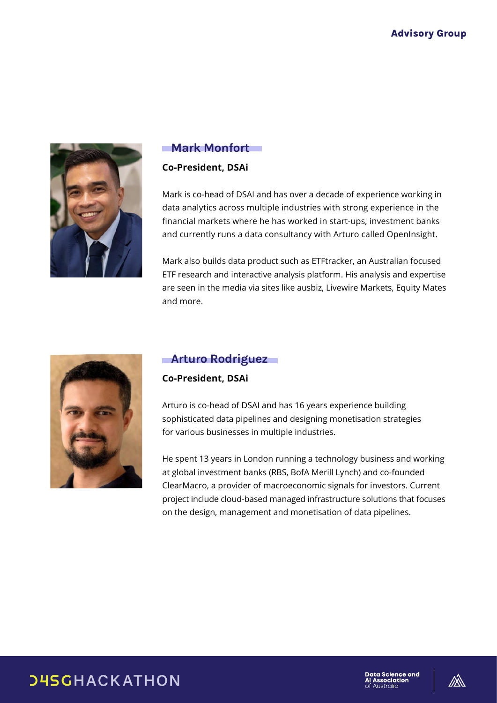

### Mark Monfort

### **Co-President, DSAi**

Mark is co-head of DSAI and has over a decade of experience working in data analytics across multiple industries with strong experience in the financial markets where he has worked in start-ups, investment banks and currently runs a data consultancy with Arturo called OpenInsight.

Mark also builds data product such as ETFtracker, an Australian focused ETF research and interactive analysis platform. His analysis and expertise are seen in the media via sites like ausbiz, Livewire Markets, Equity Mates and more.



## Arturo Rodriguez

### **Co-President, DSAi**

Arturo is co-head of DSAI and has 16 years experience building sophisticated data pipelines and designing monetisation strategies for various businesses in multiple industries.

He spent 13 years in London running a technology business and working at global investment banks (RBS, BofA Merill Lynch) and co-founded ClearMacro, a provider of macroeconomic signals for investors. Current project include cloud-based managed infrastructure solutions that focuses on the design, management and monetisation of data pipelines.

# **DHSGHACKATHON**



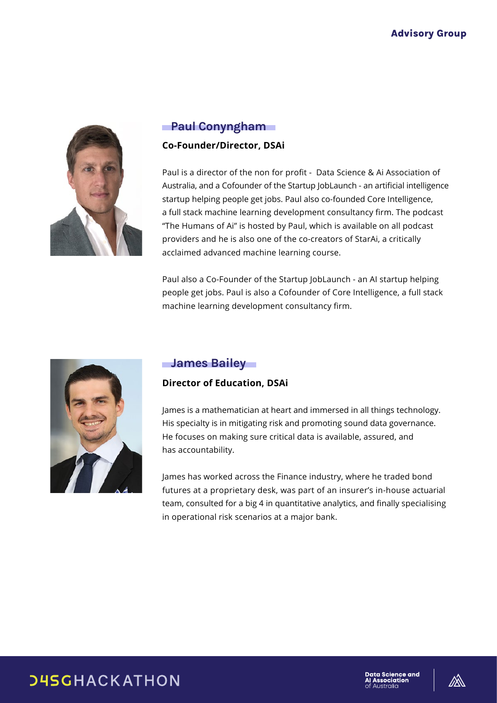

# Paul Conyngham

### **Co-Founder/Director, DSAi**

Paul is a director of the non for profit - Data Science & Ai Association of Australia, and a Cofounder of the Startup JobLaunch - an artificial intelligence startup helping people get jobs. Paul also co-founded Core Intelligence, a full stack machine learning development consultancy firm. The podcast "The Humans of Ai" is hosted by Paul, which is available on all podcast providers and he is also one of the co-creators of StarAi, a critically acclaimed advanced machine learning course.

Paul also a Co-Founder of the Startup JobLaunch - an AI startup helping people get jobs. Paul is also a Cofounder of Core Intelligence, a full stack machine learning development consultancy firm.



# **James Bailey**

### **Director of Education, DSAi**

James is a mathematician at heart and immersed in all things technology. His specialty is in mitigating risk and promoting sound data governance. He focuses on making sure critical data is available, assured, and has accountability.

James has worked across the Finance industry, where he traded bond futures at a proprietary desk, was part of an insurer's in-house actuarial team, consulted for a big 4 in quantitative analytics, and finally specialising in operational risk scenarios at a major bank.

# **DHSGHACKATHON**

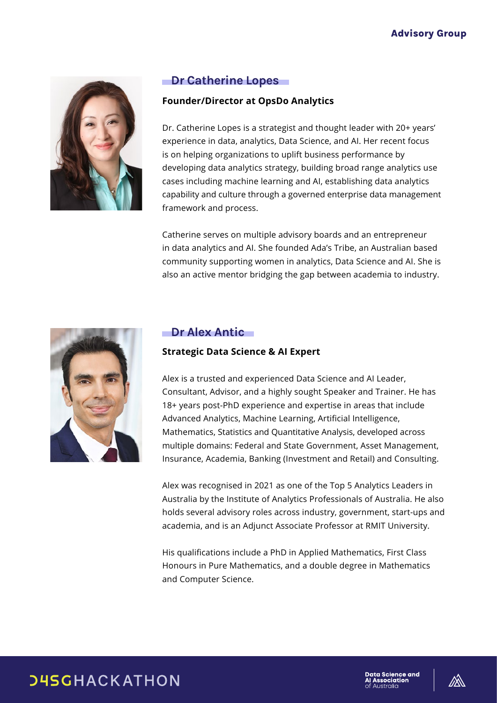

# **Dr Catherine Lopes**

### **Founder/Director at OpsDo Analytics**

Dr. Catherine Lopes is a strategist and thought leader with 20+ years' experience in data, analytics, Data Science, and AI. Her recent focus is on helping organizations to uplift business performance by developing data analytics strategy, building broad range analytics use cases including machine learning and AI, establishing data analytics capability and culture through a governed enterprise data management framework and process.

Catherine serves on multiple advisory boards and an entrepreneur in data analytics and AI. She founded Ada's Tribe, an Australian based community supporting women in analytics, Data Science and AI. She is also an active mentor bridging the gap between academia to industry.



### Dr Alex Antic

### **Strategic Data Science & AI Expert**

Alex is a trusted and experienced Data Science and AI Leader, Consultant, Advisor, and a highly sought Speaker and Trainer. He has 18+ years post-PhD experience and expertise in areas that include Advanced Analytics, Machine Learning, Artificial Intelligence, Mathematics, Statistics and Quantitative Analysis, developed across multiple domains: Federal and State Government, Asset Management, Insurance, Academia, Banking (Investment and Retail) and Consulting.

Alex was recognised in 2021 as one of the Top 5 Analytics Leaders in Australia by the Institute of Analytics Professionals of Australia. He also holds several advisory roles across industry, government, start-ups and academia, and is an Adjunct Associate Professor at RMIT University.

His qualifications include a PhD in Applied Mathematics, First Class Honours in Pure Mathematics, and a double degree in Mathematics and Computer Science.

# **DHSGHACKATHON**

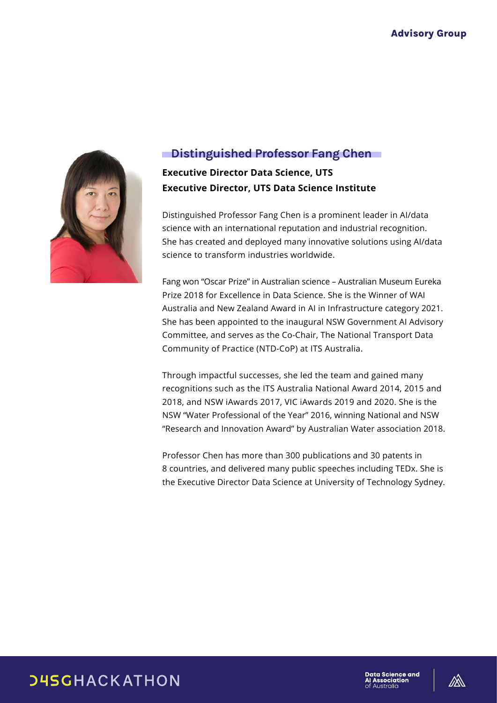

# **Distinguished Professor Fang Chen**

**Executive Director Data Science, UTS Executive Director, UTS Data Science Institute**

Distinguished Professor Fang Chen is a prominent leader in AI/data science with an international reputation and industrial recognition. She has created and deployed many innovative solutions using AI/data science to transform industries worldwide.

Fang won "Oscar Prize" in Australian science – Australian Museum Eureka Prize 2018 for Excellence in Data Science. She is the Winner of WAI Australia and New Zealand Award in AI in Infrastructure category 2021. She has been appointed to the inaugural NSW Government AI Advisory Committee, and serves as the Co-Chair, The National Transport Data Community of Practice (NTD-CoP) at ITS Australia.

Through impactful successes, she led the team and gained many recognitions such as the ITS Australia National Award 2014, 2015 and 2018, and NSW iAwards 2017, VIC iAwards 2019 and 2020. She is the NSW "Water Professional of the Year" 2016, winning National and NSW "Research and Innovation Award" by Australian Water association 2018.

Professor Chen has more than 300 publications and 30 patents in 8 countries, and delivered many public speeches including TEDx. She is the Executive Director Data Science at University of Technology Sydney.

**D4SGHACKATHON** 



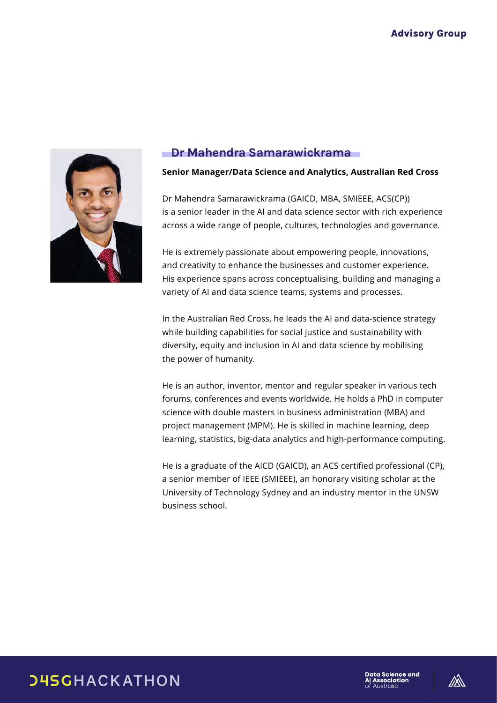

## Dr Mahendra Samarawickrama

#### **Senior Manager/Data Science and Analytics, Australian Red Cross**

Dr Mahendra Samarawickrama (GAICD, MBA, SMIEEE, ACS(CP)) is a senior leader in the AI and data science sector with rich experience across a wide range of people, cultures, technologies and governance.

He is extremely passionate about empowering people, innovations, and creativity to enhance the businesses and customer experience. His experience spans across conceptualising, building and managing a variety of AI and data science teams, systems and processes.

In the Australian Red Cross, he leads the AI and data-science strategy while building capabilities for social justice and sustainability with diversity, equity and inclusion in AI and data science by mobilising the power of humanity.

He is an author, inventor, mentor and regular speaker in various tech forums, conferences and events worldwide. He holds a PhD in computer science with double masters in business administration (MBA) and project management (MPM). He is skilled in machine learning, deep learning, statistics, big-data analytics and high-performance computing.

He is a graduate of the AICD (GAICD), an ACS certified professional (CP), a senior member of IEEE (SMIEEE), an honorary visiting scholar at the University of Technology Sydney and an industry mentor in the UNSW business school.